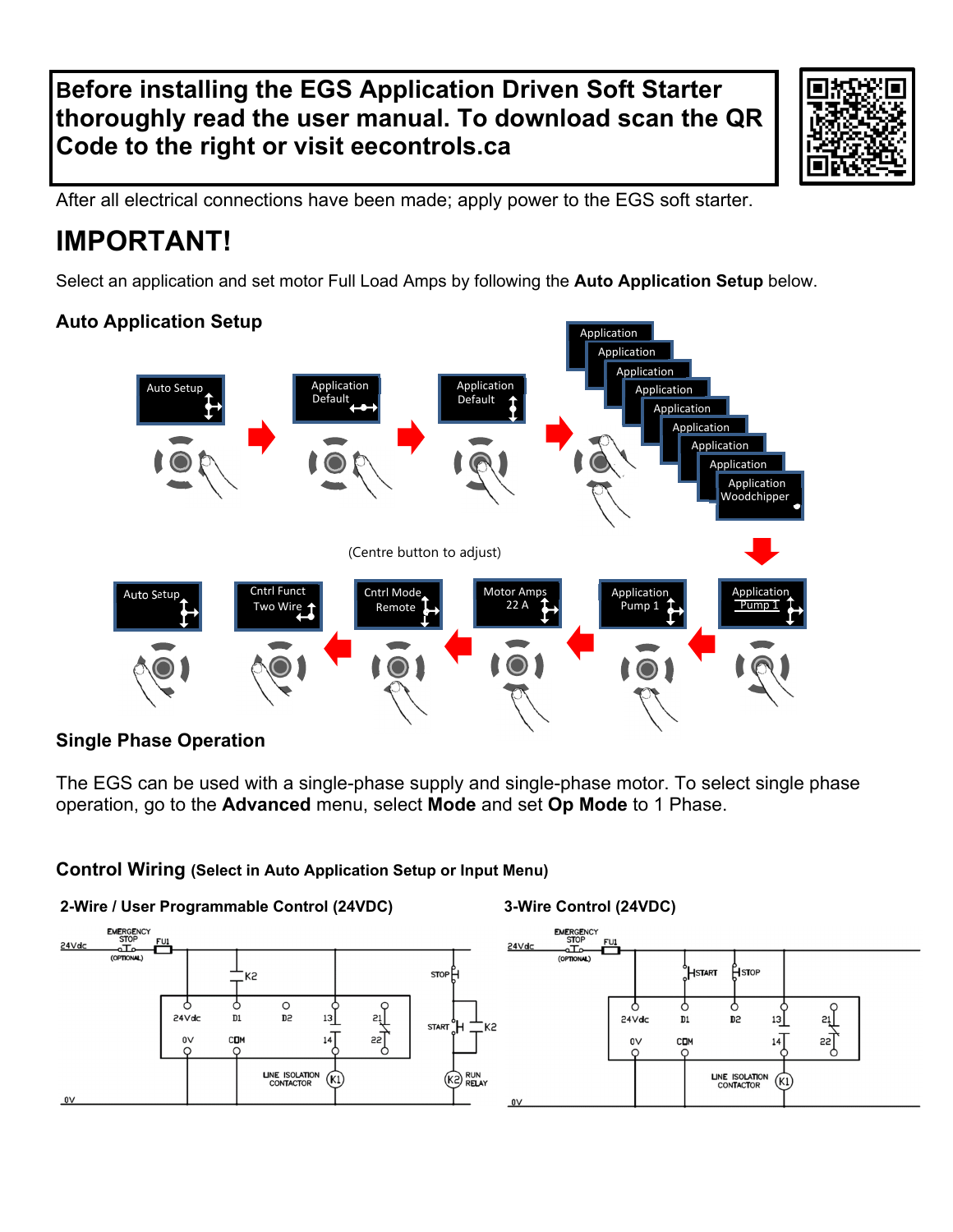## **Before installing the EGS Application Driven Soft Starter thoroughly read the user manual. To download scan the QR Code to the right or visit eecontrols.ca**



After all electrical connections have been made; apply power to the EGS soft starter.

# **IMPORTANT!**

Select an application and set motor Full Load Amps by following the **Auto Application Setup** below.

Application

### **Auto Application Setup**



### **Single Phase Operation**

The EGS can be used with a single-phase supply and single-phase motor. To select single phase operation, go to the **Advanced** menu, select **Mode** and set **Op Mode** to 1 Phase.

### **Control Wiring (Select in Auto Application Setup or Input Menu)**